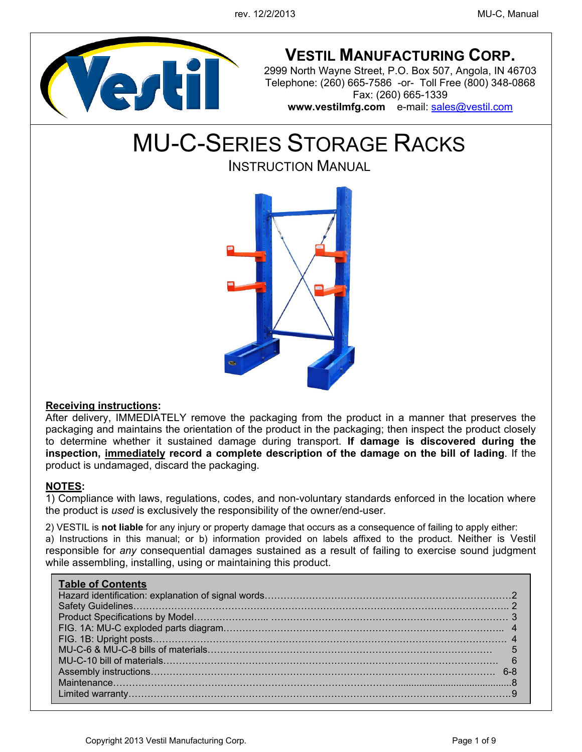

# **VESTIL MANUFACTURING CORP.**

2999 North Wayne Street, P.O. Box 507, Angola, IN 46703 Telephone: (260) 665-7586 -or- Toll Free (800) 348-0868 Fax: (260) 665-1339 **www.vestilmfg.com** e-mail: sales@vestil.com

MU-C-SERIES STORAGE RACKS

INSTRUCTION MANUAL



### **Receiving instructions:**

After delivery, IMMEDIATELY remove the packaging from the product in a manner that preserves the packaging and maintains the orientation of the product in the packaging; then inspect the product closely to determine whether it sustained damage during transport. **If damage is discovered during the inspection, immediately record a complete description of the damage on the bill of lading**. If the product is undamaged, discard the packaging.

#### **NOTES:**

1) Compliance with laws, regulations, codes, and non-voluntary standards enforced in the location where the product is *used* is exclusively the responsibility of the owner/end-user.

2) VESTIL is **not liable** for any injury or property damage that occurs as a consequence of failing to apply either:

a) Instructions in this manual; or b) information provided on labels affixed to the product. Neither is Vestil responsible for *any* consequential damages sustained as a result of failing to exercise sound judgment while assembling, installing, using or maintaining this product.

## **Table of Contents**  Hazard identification: explanation of signal words…………………………………………………………………… 2 Safety Guidelines……………………………………………………………………………………………………….. 2 Product Specifications by Model…………………... ………………………………………………………………… 3 FIG. 1A: MU-C exploded parts diagram…………………………………………………………………………….. 4 FIG. 1B: Upright posts…………………………………………………………………………………………………. 4 MU-C-6 & MU-C-8 bills of materials……………………………………………………………………………… 5 MU-C-10 bill of materials……………………………………………………………………………………………. 6 Assembly instructions………………………………………………………………………………………………. 6-8 Maintenance………………………………………………………………………………........................................... 8 Limited warranty…………………………………………………………………………………………………………. 9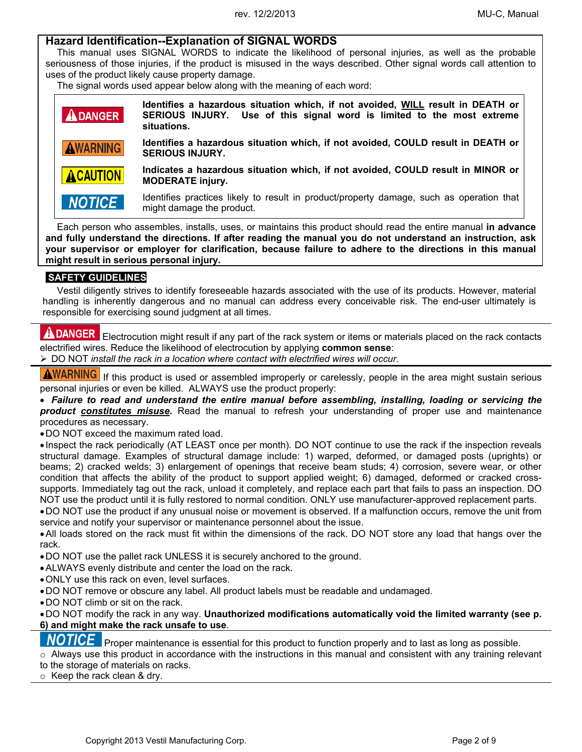## **Hazard Identification--Explanation of SIGNAL WORDS**

This manual uses SIGNAL WORDS to indicate the likelihood of personal injuries, as well as the probable seriousness of those injuries, if the product is misused in the ways described. Other signal words call attention to uses of the product likely cause property damage.

The signal words used appear below along with the meaning of each word:

| <b>ADANGER</b>  | Identifies a hazardous situation which, if not avoided, WILL result in DEATH or<br>SERIOUS INJURY. Use of this signal word is limited to the most extreme<br>situations. |
|-----------------|--------------------------------------------------------------------------------------------------------------------------------------------------------------------------|
| <b>AWARNING</b> | Identifies a hazardous situation which, if not avoided, COULD result in DEATH or<br><b>SERIOUS INJURY.</b>                                                               |
| <b>ACAUTION</b> | Indicates a hazardous situation which, if not avoided, COULD result in MINOR or<br><b>MODERATE injury.</b>                                                               |
| <b>NOTICE</b>   | Identifies practices likely to result in product/property damage, such as operation that<br>might damage the product.                                                    |

Each person who assembles, installs, uses, or maintains this product should read the entire manual **in advance and fully understand the directions. If after reading the manual you do not understand an instruction, ask your supervisor or employer for clarification, because failure to adhere to the directions in this manual might result in serious personal injury.**

#### **SAFETY GUIDELINES**

Vestil diligently strives to identify foreseeable hazards associated with the use of its products. However, material handling is inherently dangerous and no manual can address every conceivable risk. The end-user ultimately is responsible for exercising sound judgment at all times.

**ADANGER** Electrocution might result if any part of the rack system or items or materials placed on the rack contacts electrified wires. Reduce the likelihood of electrocution by applying **common sense**:

DO NOT *install the rack in a location where contact with electrified wires will occur*.

**AWARNING** If this product is used or assembled improperly or carelessly, people in the area might sustain serious

personal injuries or even be killed. ALWAYS use the product properly:

 *Failure to read and understand the entire manual before assembling, installing, loading or servicing the product constitutes misuse***.** Read the manual to refresh your understanding of proper use and maintenance procedures as necessary.

DO NOT exceed the maximum rated load.

 Inspect the rack periodically (AT LEAST once per month). DO NOT continue to use the rack if the inspection reveals structural damage. Examples of structural damage include: 1) warped, deformed, or damaged posts (uprights) or beams; 2) cracked welds; 3) enlargement of openings that receive beam studs; 4) corrosion, severe wear, or other condition that affects the ability of the product to support applied weight; 6) damaged, deformed or cracked crosssupports. Immediately tag out the rack, unload it completely, and replace each part that fails to pass an inspection. DO NOT use the product until it is fully restored to normal condition. ONLY use manufacturer-approved replacement parts.

 DO NOT use the product if any unusual noise or movement is observed. If a malfunction occurs, remove the unit from service and notify your supervisor or maintenance personnel about the issue.

 All loads stored on the rack must fit within the dimensions of the rack. DO NOT store any load that hangs over the rack.

DO NOT use the pallet rack UNLESS it is securely anchored to the ground.

- ALWAYS evenly distribute and center the load on the rack.
- ONLY use this rack on even, level surfaces.

DO NOT remove or obscure any label. All product labels must be readable and undamaged.

DO NOT climb or sit on the rack.

 DO NOT modify the rack in any way. **Unauthorized modifications automatically void the limited warranty (see p. 6) and might make the rack unsafe to use**.

**NOTICE** Proper maintenance is essential for this product to function properly and to last as long as possible.

 $\circ$  Always use this product in accordance with the instructions in this manual and consistent with any training relevant to the storage of materials on racks.

o Keep the rack clean & dry.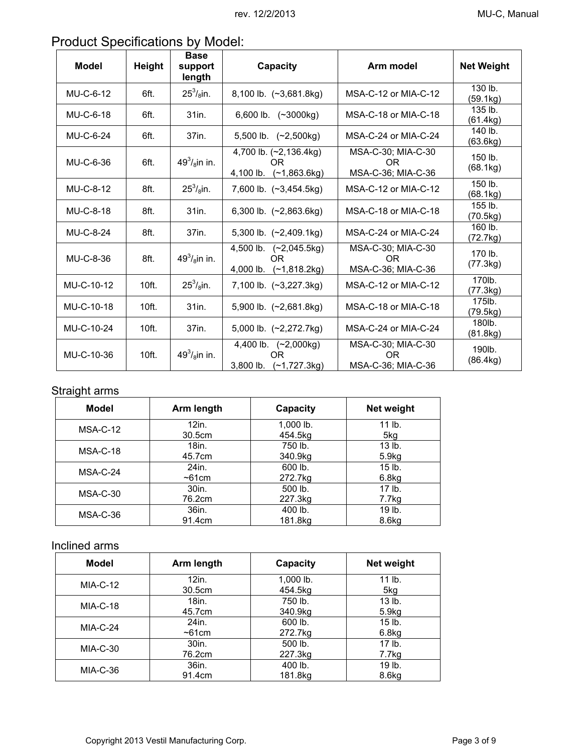| <b>Product Specifications by Model:</b> |  |
|-----------------------------------------|--|
|                                         |  |

| <b>Model</b> | Height           | <b>Base</b><br>support<br>length | Capacity                                                | Arm model                                             | <b>Net Weight</b>   |
|--------------|------------------|----------------------------------|---------------------------------------------------------|-------------------------------------------------------|---------------------|
| MU-C-6-12    | 6ft.             | $25^3$ / <sub>8</sub> in.        | 8,100 lb. (~3,681.8kg)                                  | MSA-C-12 or MIA-C-12                                  | 130 lb.<br>(59.1kg) |
| MU-C-6-18    | 6ft.             | 31in.                            | 6,600 lb. (~3000kg)                                     | MSA-C-18 or MIA-C-18                                  | 135 lb.<br>(61.4kg) |
| MU-C-6-24    | 6ft.             | 37in.                            | 5,500 lb. (~2,500kg)                                    | MSA-C-24 or MIA-C-24                                  | 140 lb.<br>(63.6kg) |
| MU-C-6-36    | 6ft.             | $49^3$ / <sub>8</sub> in in.     | 4,700 lb. (~2,136.4kg)<br>OR.<br>4,100 lb. (~1,863.6kg) | MSA-C-30; MIA-C-30<br><b>OR</b><br>MSA-C-36; MIA-C-36 | 150 lb.<br>(68.1kg) |
| MU-C-8-12    | 8ft.             | $25^3$ / <sub>8</sub> in.        | 7,600 lb. (~3,454.5kg)                                  | MSA-C-12 or MIA-C-12                                  | 150 lb.<br>(68.1kg) |
| MU-C-8-18    | 8ft.             | 31in.                            | 6,300 lb. $(-2,863.6kg)$                                | MSA-C-18 or MIA-C-18                                  | 155 lb.<br>(70.5kg) |
| MU-C-8-24    | 8ft.             | 37in.                            | 5,300 lb. (~2,409.1kg)                                  | MSA-C-24 or MIA-C-24                                  | 160 lb.<br>(72.7kg) |
| MU-C-8-36    | 8ft.             | $49^3$ / <sub>8</sub> in in.     | 4,500 lb. (~2,045.5kg)<br>OR.<br>4,000 lb. (~1,818.2kg) | MSA-C-30; MIA-C-30<br>OR.<br>MSA-C-36; MIA-C-36       | 170 lb.<br>(77.3kg) |
| MU-C-10-12   | 10ft.            | $25^3$ / <sub>8</sub> in.        | 7,100 lb. $(-3,227.3kg)$                                | MSA-C-12 or MIA-C-12                                  | 170lb.<br>(77.3kg)  |
| MU-C-10-18   | 10ft.            | 31in.                            | 5,900 lb. (~2,681.8kg)                                  | MSA-C-18 or MIA-C-18                                  | 175lb.<br>(79.5kg)  |
| MU-C-10-24   | 10ft.            | 37in.                            | 5,000 lb. (~2,272.7kg)                                  | MSA-C-24 or MIA-C-24                                  | 180lb.<br>(81.8kg)  |
| MU-C-10-36   | 10 <sub>ft</sub> | $49^3$ / <sub>8</sub> in in.     | 4,400 lb. (~2,000kg)<br>OR.<br>3,800 lb. (~1,727.3kg)   | MSA-C-30; MIA-C-30<br>OR.<br>MSA-C-36; MIA-C-36       | 190lb.<br>(86.4kg)  |

## Straight arms

| <b>Model</b> | Arm length | Capacity  | Net weight        |
|--------------|------------|-----------|-------------------|
| $MSA-C-12$   | $12$ in.   | 1,000 lb. | $11$ lb.          |
|              | 30.5cm     | 454.5kg   | 5kg               |
| $MSA-C-18$   | 18in.      | 750 lb.   | $13$ lb.          |
|              | 45.7cm     | 340.9kg   | 5.9kg             |
| MSA-C-24     | 24in.      | 600 lb.   | $15$ lb.          |
|              | $~5$ 1cm   | 272.7kg   | 6.8 <sub>kg</sub> |
| $MSA-C-30$   | 30in.      | 500 lb.   | $17$ lb.          |
|              | 76.2cm     | 227.3kg   | 7.7kg             |
| $MSA-C-36$   | 36in.      | 400 lb.   | 19 lb.            |
|              | 91.4cm     | 181.8kg   | 8.6 <sub>kg</sub> |

## Inclined arms

| <b>Model</b> | Arm length | Capacity  | Net weight        |
|--------------|------------|-----------|-------------------|
| $MIA-C-12$   | 12in.      | 1,000 lb. | $11$ lb.          |
|              | 30.5cm     | 454.5kg   | 5kg               |
| $MIA-C-18$   | 18in.      | 750 lb.   | 13 lb.            |
|              | 45.7cm     | 340.9kg   | 5.9 <sub>kg</sub> |
|              | 24in.      | 600 lb.   | $15$ lb.          |
| $MIA-C-24$   | $~5$ 1cm   | 272.7kg   | 6.8 <sub>kg</sub> |
| $MIA-C-30$   | 30in.      | 500 lb.   | $17$ lb.          |
|              | 76.2cm     | 227.3kg   | 7.7kg             |
|              | 36in.      | 400 lb.   | $19$ lb.          |
| MIA-C-36     | 91.4cm     | 181.8kg   | 8.6kg             |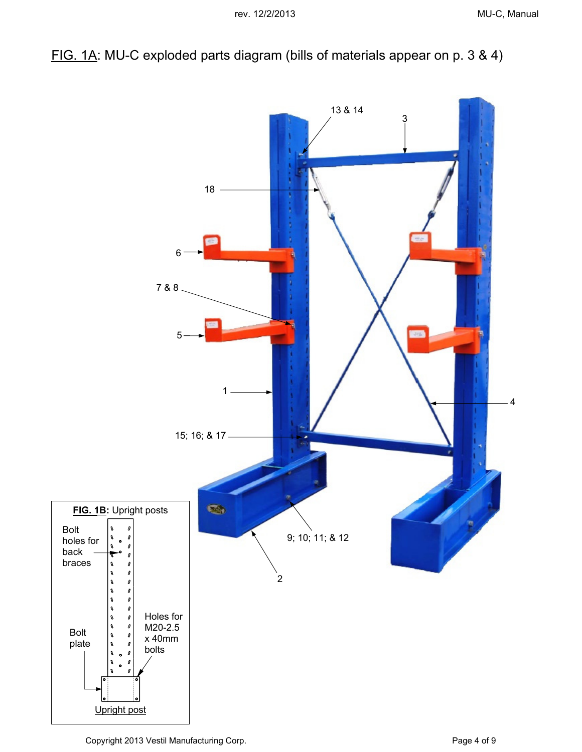FIG. 1A: MU-C exploded parts diagram (bills of materials appear on p. 3 & 4)



Copyright 2013 Vestil Manufacturing Corp. **Page 4 of 9** Page 4 of 9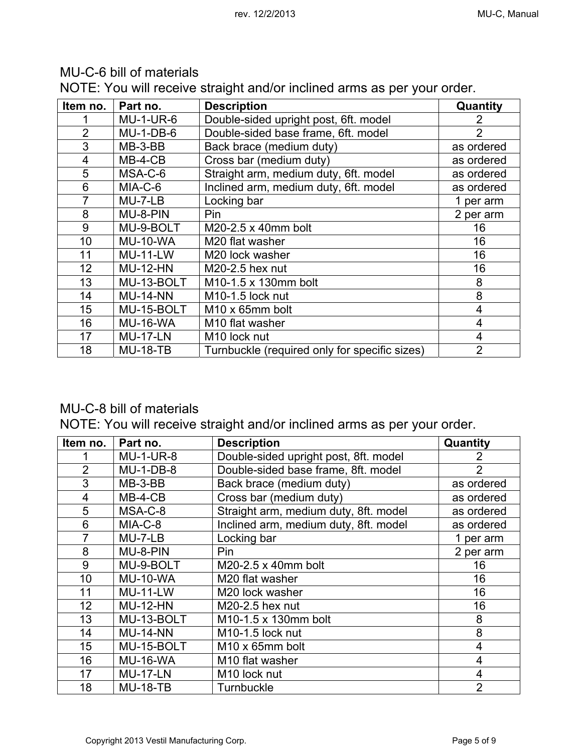| Item no.       | Part no.         | <b>Description</b>                            | Quantity       |
|----------------|------------------|-----------------------------------------------|----------------|
|                | <b>MU-1-UR-6</b> | Double-sided upright post, 6ft. model         | 2              |
| $\overline{2}$ | $MU-1-DB-6$      | Double-sided base frame, 6ft. model           | $\overline{2}$ |
| 3              | $MB-3-BB$        | Back brace (medium duty)                      | as ordered     |
| 4              | $MB-4-CB$        | Cross bar (medium duty)                       | as ordered     |
| 5              | MSA-C-6          | Straight arm, medium duty, 6ft. model         | as ordered     |
| 6              | MIA-C-6          | Inclined arm, medium duty, 6ft. model         | as ordered     |
|                | MU-7-LB          | Locking bar                                   | 1 per arm      |
| 8              | MU-8-PIN         | Pin                                           | 2 per arm      |
| 9              | MU-9-BOLT        | M20-2.5 x 40mm bolt                           | 16             |
| 10             | <b>MU-10-WA</b>  | M <sub>20</sub> flat washer                   | 16             |
| 11             | <b>MU-11-LW</b>  | M20 lock washer                               | 16             |
| 12             | <b>MU-12-HN</b>  | $M20-2.5$ hex nut                             | 16             |
| 13             | MU-13-BOLT       | M <sub>10</sub> -1.5 x 130mm bolt             | 8              |
| 14             | <b>MU-14-NN</b>  | M <sub>10</sub> -1.5 lock nut                 | 8              |
| 15             | MU-15-BOLT       | M <sub>10</sub> x 65mm bolt                   | 4              |
| 16             | <b>MU-16-WA</b>  | M <sub>10</sub> flat washer                   | $\overline{4}$ |
| 17             | <b>MU-17-LN</b>  | M <sub>10</sub> lock nut                      | 4              |
| 18             | <b>MU-18-TB</b>  | Turnbuckle (required only for specific sizes) | $\overline{2}$ |

## MU-C-6 bill of materials

NOTE: You will receive straight and/or inclined arms as per your order.

## MU-C-8 bill of materials

NOTE: You will receive straight and/or inclined arms as per your order.

| Item no.       | Part no.         | <b>Description</b>                    | Quantity       |
|----------------|------------------|---------------------------------------|----------------|
|                | <b>MU-1-UR-8</b> | Double-sided upright post, 8ft. model | 2              |
| $\overline{2}$ | <b>MU-1-DB-8</b> | Double-sided base frame, 8ft. model   | $\overline{2}$ |
| 3              | $MB-3-BB$        | Back brace (medium duty)              | as ordered     |
| 4              | $MB-4-CB$        | Cross bar (medium duty)               | as ordered     |
| 5              | MSA-C-8          | Straight arm, medium duty, 8ft. model | as ordered     |
| 6              | MIA-C-8          | Inclined arm, medium duty, 8ft. model | as ordered     |
| 7              | $MU-7-LB$        | Locking bar                           | 1 per arm      |
| 8              | MU-8-PIN         | Pin                                   | 2 per arm      |
| 9              | MU-9-BOLT        | M20-2.5 x 40mm bolt                   | 16             |
| 10             | <b>MU-10-WA</b>  | M20 flat washer                       | 16             |
| 11             | <b>MU-11-LW</b>  | M20 lock washer                       | 16             |
| 12             | <b>MU-12-HN</b>  | M20-2.5 hex nut                       | 16             |
| 13             | MU-13-BOLT       | M10-1.5 x 130mm bolt                  | 8              |
| 14             | <b>MU-14-NN</b>  | M10-1.5 lock nut                      | 8              |
| 15             | MU-15-BOLT       | M <sub>10</sub> x 65mm bolt           | 4              |
| 16             | <b>MU-16-WA</b>  | M10 flat washer                       | 4              |
| 17             | <b>MU-17-LN</b>  | M <sub>10</sub> lock nut              | 4              |
| 18             | <b>MU-18-TB</b>  | Turnbuckle                            | $\overline{2}$ |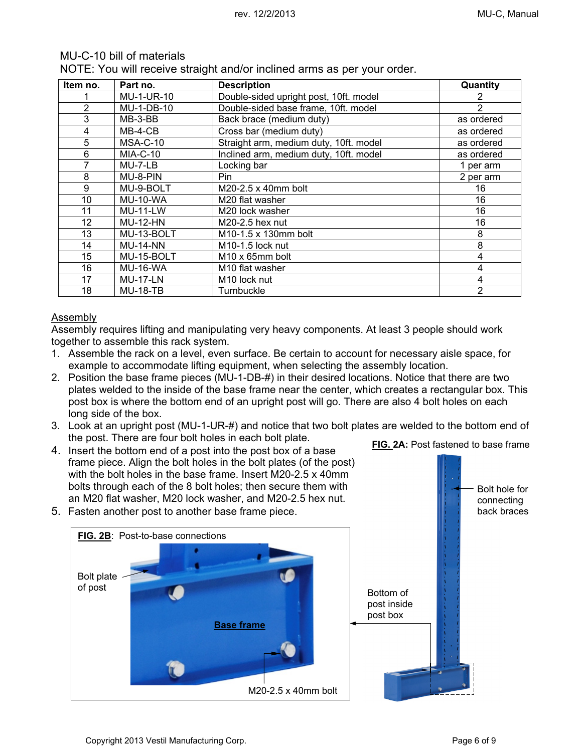### MU-C-10 bill of materials

NOTE: You will receive straight and/or inclined arms as per your order.

| Item no.       | Part no.          | <b>Description</b>                     | Quantity       |
|----------------|-------------------|----------------------------------------|----------------|
|                | <b>MU-1-UR-10</b> | Double-sided upright post, 10ft. model |                |
| $\overline{2}$ | MU-1-DB-10        | Double-sided base frame, 10ft. model   | $\overline{2}$ |
| 3              | $MB-3-BB$         | Back brace (medium duty)               | as ordered     |
| 4              | $MB-4-CB$         | Cross bar (medium duty)                | as ordered     |
| 5              | MSA-C-10          | Straight arm, medium duty, 10ft. model | as ordered     |
| 6              | <b>MIA-C-10</b>   | Inclined arm, medium duty, 10ft. model | as ordered     |
| 7              | $MU-7-LB$         | Locking bar                            | 1 per arm      |
| 8              | MU-8-PIN          | Pin                                    | 2 per arm      |
| 9              | MU-9-BOLT         | $M20-2.5 \times 40$ mm bolt            | 16             |
| 10             | <b>MU-10-WA</b>   | M20 flat washer                        | 16             |
| 11             | <b>MU-11-LW</b>   | M20 lock washer                        | 16             |
| 12             | <b>MU-12-HN</b>   | M20-2.5 hex nut                        | 16             |
| 13             | MU-13-BOLT        | M10-1.5 x 130mm bolt                   | 8              |
| 14             | <b>MU-14-NN</b>   | M <sub>10</sub> -1.5 lock nut          | 8              |
| 15             | MU-15-BOLT        | M <sub>10</sub> x 65mm bolt            | 4              |
| 16             | <b>MU-16-WA</b>   | M <sub>10</sub> flat washer            | 4              |
| 17             | <b>MU-17-LN</b>   | M <sub>10</sub> lock nut               | 4              |
| 18             | <b>MU-18-TB</b>   | Turnbuckle                             | $\overline{2}$ |

#### Assembly

Assembly requires lifting and manipulating very heavy components. At least 3 people should work together to assemble this rack system.

- 1. Assemble the rack on a level, even surface. Be certain to account for necessary aisle space, for example to accommodate lifting equipment, when selecting the assembly location.
- 2. Position the base frame pieces (MU-1-DB-#) in their desired locations. Notice that there are two plates welded to the inside of the base frame near the center, which creates a rectangular box. This post box is where the bottom end of an upright post will go. There are also 4 bolt holes on each long side of the box.
- 3. Look at an upright post (MU-1-UR-#) and notice that two bolt plates are welded to the bottom end of the post. There are four bolt holes in each bolt plate. **FIG. 2A: Post fastened to base frame**
- 4. Insert the bottom end of a post into the post box of a base frame piece. Align the bolt holes in the bolt plates (of the post) with the bolt holes in the base frame. Insert M20-2.5 x 40mm bolts through each of the 8 bolt holes; then secure them with an M20 flat washer, M20 lock washer, and M20-2.5 hex nut.
- 5. Fasten another post to another base frame piece.



Bolt hole for connecting back braces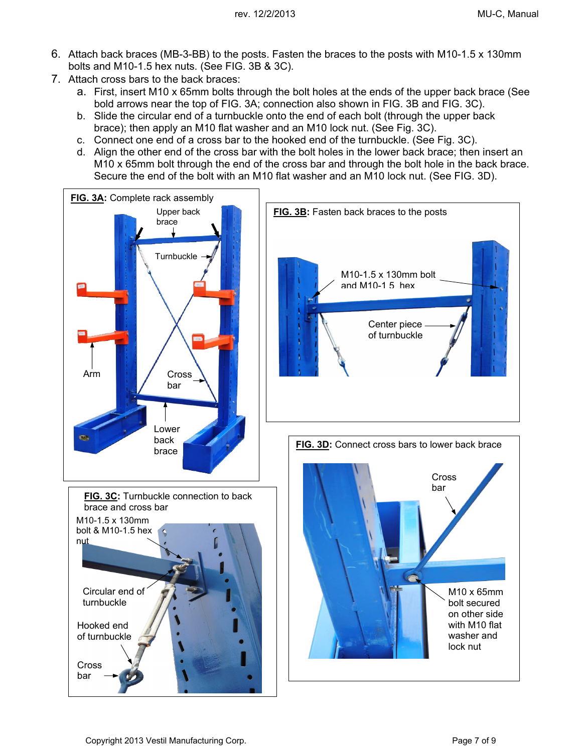- 6. Attach back braces (MB-3-BB) to the posts. Fasten the braces to the posts with M10-1.5 x 130mm bolts and M10-1.5 hex nuts. (See FIG. 3B & 3C).
- 7. Attach cross bars to the back braces:
	- a. First, insert M10 x 65mm bolts through the bolt holes at the ends of the upper back brace (See bold arrows near the top of FIG. 3A; connection also shown in FIG. 3B and FIG. 3C).
	- b. Slide the circular end of a turnbuckle onto the end of each bolt (through the upper back brace); then apply an M10 flat washer and an M10 lock nut. (See Fig. 3C).
	- c. Connect one end of a cross bar to the hooked end of the turnbuckle. (See Fig. 3C).
	- d. Align the other end of the cross bar with the bolt holes in the lower back brace; then insert an M10 x 65mm bolt through the end of the cross bar and through the bolt hole in the back brace. Secure the end of the bolt with an M10 flat washer and an M10 lock nut. (See FIG. 3D).

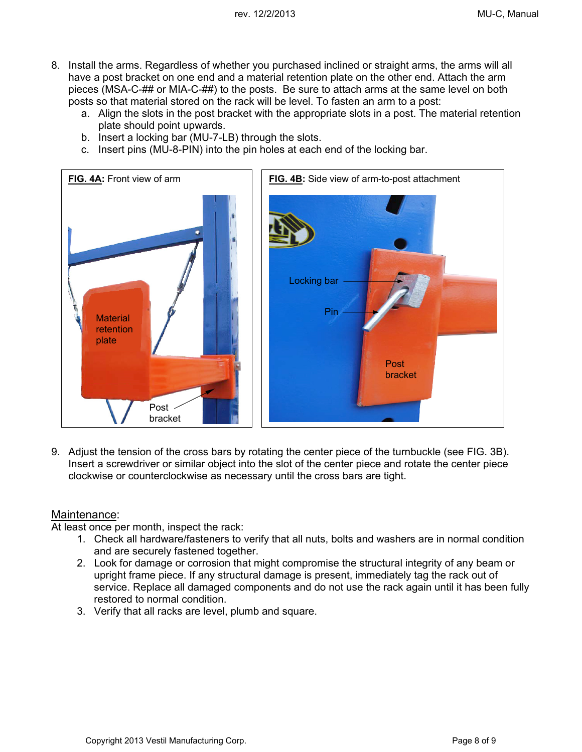- 8. Install the arms. Regardless of whether you purchased inclined or straight arms, the arms will all have a post bracket on one end and a material retention plate on the other end. Attach the arm pieces (MSA-C-## or MIA-C-##) to the posts. Be sure to attach arms at the same level on both posts so that material stored on the rack will be level. To fasten an arm to a post:
	- a. Align the slots in the post bracket with the appropriate slots in a post. The material retention plate should point upwards.
	- b. Insert a locking bar (MU-7-LB) through the slots.
	- c. Insert pins (MU-8-PIN) into the pin holes at each end of the locking bar.



9. Adjust the tension of the cross bars by rotating the center piece of the turnbuckle (see FIG. 3B). Insert a screwdriver or similar object into the slot of the center piece and rotate the center piece clockwise or counterclockwise as necessary until the cross bars are tight.

## Maintenance:

At least once per month, inspect the rack:

- 1. Check all hardware/fasteners to verify that all nuts, bolts and washers are in normal condition and are securely fastened together.
- 2. Look for damage or corrosion that might compromise the structural integrity of any beam or upright frame piece. If any structural damage is present, immediately tag the rack out of service. Replace all damaged components and do not use the rack again until it has been fully restored to normal condition.
- 3. Verify that all racks are level, plumb and square.